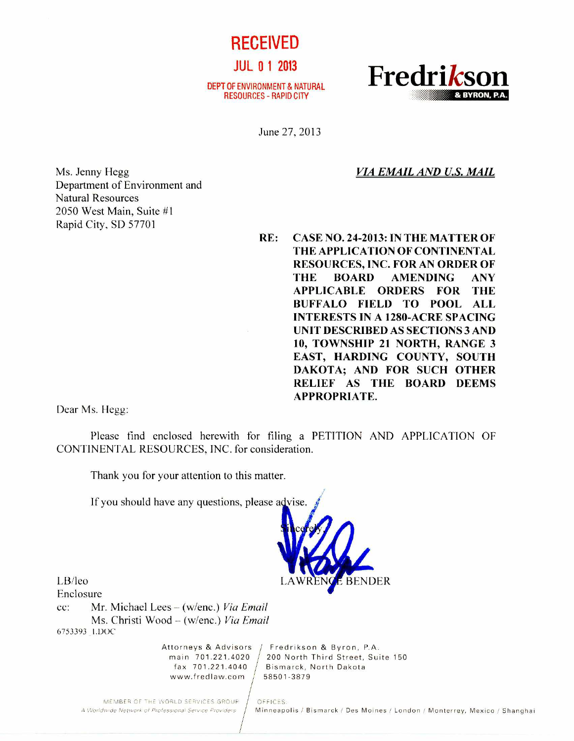# RECEIVED

JUL 0 1 2013

DEPT OF ENVIRONMENT & NATURAL RESOURCES - RAPID CITY



June 27, 2013

*VIA EMAIL AND U.S. MAIL* 

Ms. Jenny Hegg Department of Environment and Natural Resources 2050 West Main, Suite #1 Rapid City, SD 57701

**RE: CASE NO. 24-2013: IN THE MATTER OF THE APPLICATION OF CONTINENTAL RESOURCES, INC. FOR AN ORDER OF THE BOARD AMENDING ANY APPLICABLE ORDERS FOR THE BUFFALO FIELD TO POOL ALL INTERESTS IN A 1280-ACRE SPACING UNIT DESCRIBED AS SECTIONS 3 AND 10, TOWNSHIP 21 NORTH, RANGE 3 EAST, HARDING COUNTY, SOUTH DAKOTA; AND FOR SUCH OTHER RELIEF AS THE BOARD DEEMS APPROPRIATE.** 

Dear Ms. Hegg:

Please find enclosed herewith for filing a PETITION AND APPLICATION OF CONTINENTAL RESOURCES, INC. for consideration.

Thank you for your attention to this matter.

If you should have any questions, please advise.



LB/leo Enclosure

cc: Mr. Michael Lees — (w/enc.) *Via Email*  Ms. Christi Wood — (w/enc.) *Via Email*  67533931.1)0C

www.fredlaw.com  $/$  58501-3879

Attorneys & Advisors / Fredrikson & Byron, P.A. main 701.221.4020 / 200 North Third Street, Suite 150 fax 701.221.4040 Bismarck, North Dakota

MEMBER OF THE WORLD SERVICES GROUP | OFFICES:<br>A Worldwide Network of Professional Service Providers | Minneapo

Minneapolis / Bismarck / Des Moines / London / Monterrey, Mexico / Shanghai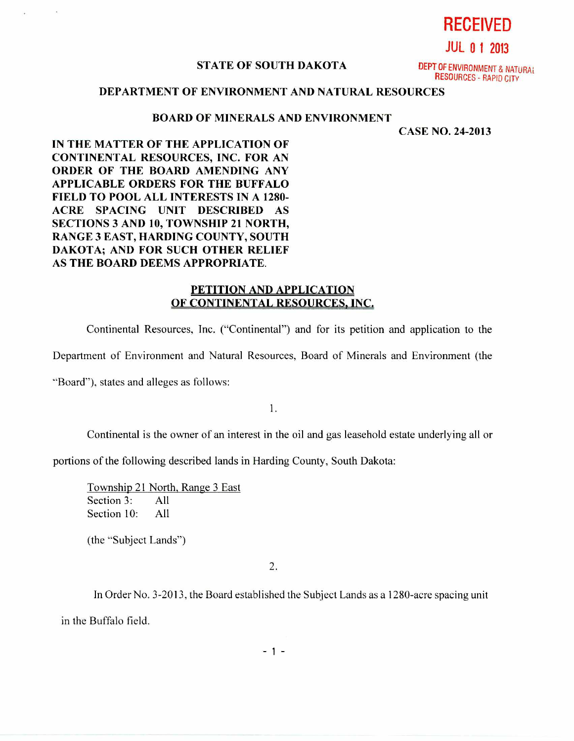**RECEIVED** 

**JUL 0 1 2013** 

# **STATE OF SOUTH DAKOTA DEPT OF ENVIRONMENT & NATURAL**

RESOURCES - RAPID CITY

## **DEPARTMENT OF ENVIRONMENT AND NATURAL RESOURCES**

#### **BOARD OF MINERALS AND ENVIRONMENT**

**CASE NO. 24-2013** 

**IN THE MATTER OF THE APPLICATION OF CONTINENTAL RESOURCES, INC. FOR AN ORDER OF THE BOARD AMENDING ANY APPLICABLE ORDERS FOR THE BUFFALO FIELD TO POOL ALL INTERESTS IN A 1280- ACRE SPACING UNIT DESCRIBED AS SECTIONS 3 AND 10, TOWNSHIP 21 NORTH, RANGE 3 EAST, HARDING COUNTY, SOUTH DAKOTA; AND FOR SUCH OTHER RELIEF AS THE BOARD DEEMS APPROPRIATE.** 

# **PETITION AND APPLICATION OF CONTINENTAL RESOURCES, INC.**

Continental Resources, Inc. ("Continental") and for its petition and application to the

Department of Environment and Natural Resources, Board of Minerals and Environment (the

"Board"), states and alleges as follows:

1.

Continental is the owner of an interest in the oil and gas leasehold estate underlying all or

portions of the following described lands in Harding County, South Dakota:

Township 21 North, Range 3 East Section 3: All Section 10: All

(the "Subject Lands")

2.

In Order No. 3-2013, the Board established the Subject Lands as a 1280-acre spacing unit in the Buffalo field.

 $-1 -$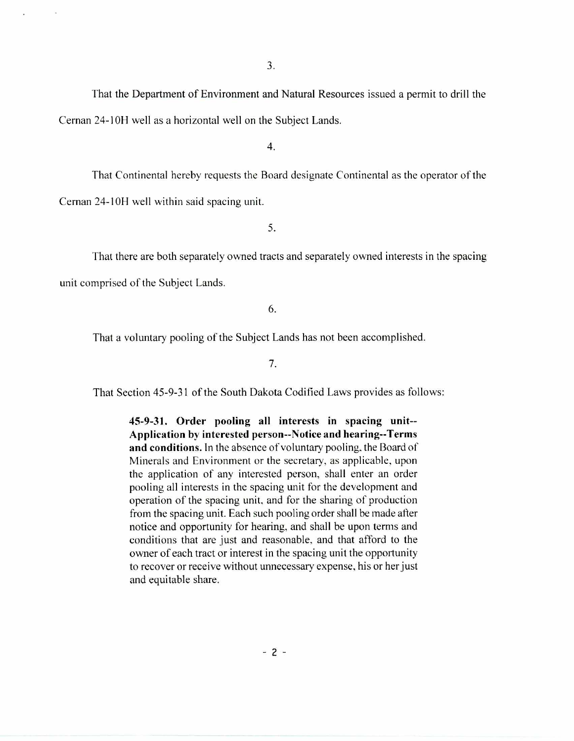That the Department of Environment and Natural Resources issued a permit to drill the Cernan 24-1 OH well as a horizontal well on the Subject Lands.

4.

That Continental hereby requests the Board designate Continental as the operator of the Ceman 24-10H well within said spacing unit.

5.

That there are both separately owned tracts and separately owned interests in the spacing unit comprised of the Subject Lands.

6.

That a voluntary pooling of the Subject Lands has not been accomplished.

7.

That Section 45-9-31 of the South Dakota Codified Laws provides as follows:

**45-9-31. Order pooling all interests in spacing unit-- Application by interested person--Notice and hearing--Terms and conditions.** In the absence of voluntary pooling, the Board of Minerals and Environment or the secretary, as applicable, upon the application of any interested person, shall enter an order pooling all interests in the spacing unit for the development and operation of the spacing unit, and for the sharing of production from the spacing unit. Each such pooling order shall be made after notice and opportunity for hearing, and shall be upon terms and conditions that are just and reasonable, and that afford to the owner of each tract or interest in the spacing unit the opportunity to recover or receive without unnecessary expense, his or her just and equitable share.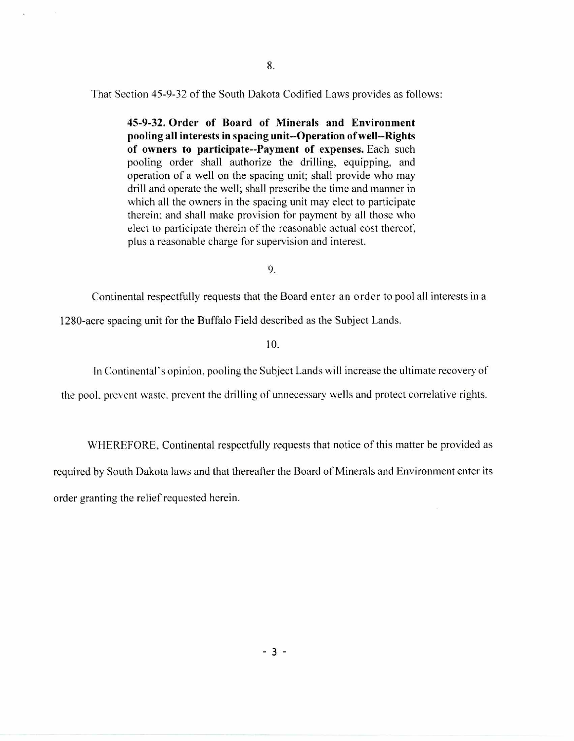That Section 45-9-32 of the South Dakota Codified Laws provides as follows:

**45-9-32. Order of Board of Minerals and Environment pooling all interests in spacing unit--Operation of well--Rights of owners to participate--Payment of expenses.** Each such pooling order shall authorize the drilling, equipping, and operation of a well on the spacing unit; shall provide who may drill and operate the well; shall prescribe the time and manner in which all the owners in the spacing unit may elect to participate therein; and shall make provision for payment by all those who elect to participate therein of the reasonable actual cost thereof, plus a reasonable charge for supervision and interest.

9.

Continental respectfully requests that the Board enter an order to pool all interests in a 1280-acre spacing unit for the Buffalo Field described as the Subject Lands.

10.

In Continental's opinion, pooling the Subject Lands will increase the ultimate recovery of

the pool. prevent waste, prevent the drilling of unnecessary wells and protect correlative rights.

WHEREFORE, Continental respectfully requests that notice of this matter be provided as required by South Dakota laws and that thereafter the Board of Minerals and Environment enter its order granting the relief requested herein.